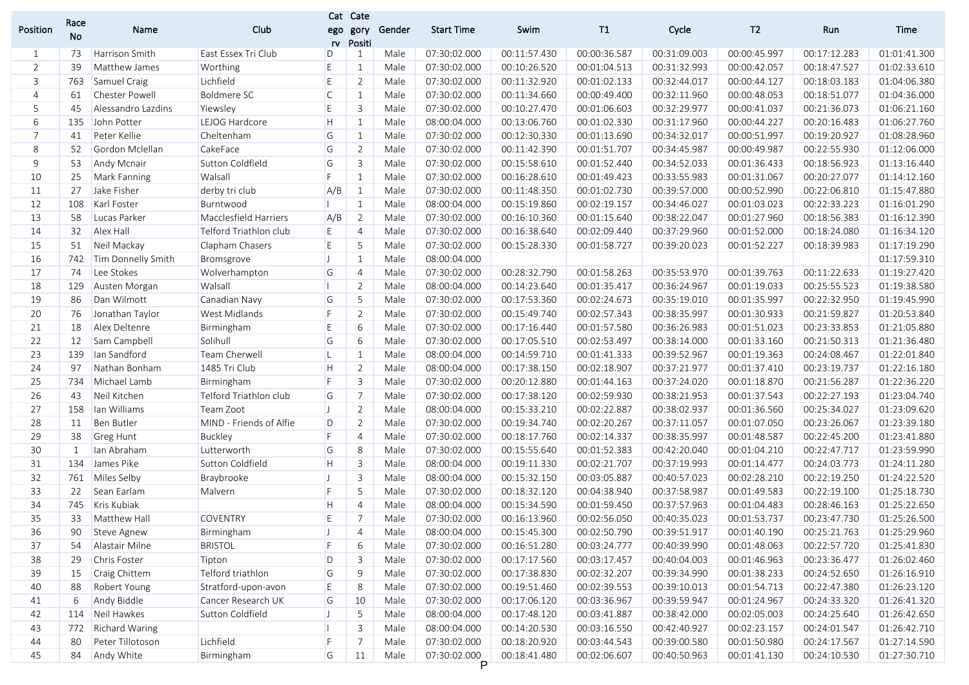|                | Race         |                    |                         |              | Cat Cate       |        |                   |              |              |              |              |              |              |
|----------------|--------------|--------------------|-------------------------|--------------|----------------|--------|-------------------|--------------|--------------|--------------|--------------|--------------|--------------|
| Position       | No           | Name               | Club                    | ego<br>rv    | gory<br>Positi | Gender | <b>Start Time</b> | Swim         | T1           | Cycle        | T2           | Run          | Time         |
| 1              | 73           | Harrison Smith     | East Essex Tri Club     | D            | 1              | Male   | 07:30:02.000      | 00:11:57.430 | 00:00:36.587 | 00:31:09.003 | 00:00:45.997 | 00:17:12.283 | 01:01:41.300 |
| $\overline{2}$ | 39           | Matthew James      | Worthing                | E            | $\mathbf{1}$   | Male   | 07:30:02.000      | 00:10:26.520 | 00:01:04.513 | 00:31:32.993 | 00:00:42.057 | 00:18:47.527 | 01:02:33.610 |
| 3              | 763          | Samuel Craig       | Lichfield               | E            | $\overline{2}$ | Male   | 07:30:02.000      | 00:11:32.920 | 00:01:02.133 | 00:32:44.017 | 00:00:44.127 | 00:18:03.183 | 01:04:06.380 |
| 4              | 61           | Chester Powell     | Boldmere SC             | $\mathsf{C}$ | 1              | Male   | 07:30:02.000      | 00:11:34.660 | 00:00:49.400 | 00:32:11.960 | 00:00:48.053 | 00:18:51.077 | 01:04:36.000 |
| 5              | 45           | Alessandro Lazdins | Yiewsley                | E            | 3              | Male   | 07:30:02.000      | 00:10:27.470 | 00:01:06.603 | 00:32:29.977 | 00:00:41.037 | 00:21:36.073 | 01:06:21.160 |
| 6              | 135          | John Potter        | LEJOG Hardcore          | Н            | $\mathbf{1}$   | Male   | 08:00:04.000      | 00:13:06.760 | 00:01:02.330 | 00:31:17.960 | 00:00:44.227 | 00:20:16.483 | 01:06:27.760 |
| $\overline{7}$ | 41           | Peter Kellie       | Cheltenham              | G            | $\mathbf{1}$   | Male   | 07:30:02.000      | 00:12:30.330 | 00:01:13.690 | 00:34:32.017 | 00:00:51.997 | 00:19:20.927 | 01:08:28.960 |
| 8              | 52           | Gordon Mclellan    | CakeFace                | G            | $\overline{2}$ | Male   | 07:30:02.000      | 00:11:42.390 | 00:01:51.707 | 00:34:45.987 | 00:00:49.987 | 00:22:55.930 | 01:12:06.000 |
| 9              | 53           | Andy Mcnair        | Sutton Coldfield        | G            | 3              | Male   | 07:30:02.000      | 00:15:58.610 | 00:01:52.440 | 00:34:52.033 | 00:01:36.433 | 00:18:56.923 | 01:13:16.440 |
| 10             | 25           | Mark Fanning       | Walsall                 | F            | 1              | Male   | 07:30:02.000      | 00:16:28.610 | 00:01:49.423 | 00:33:55.983 | 00:01:31.067 | 00:20:27.077 | 01:14:12.160 |
| 11             | 27           | Jake Fisher        | derby tri club          | A/B          | -1             | Male   | 07:30:02.000      | 00:11:48.350 | 00:01:02.730 | 00:39:57.000 | 00:00:52.990 | 00:22:06.810 | 01:15:47.880 |
| 12             | 108          | Karl Foster        | Burntwood               |              | 1              | Male   | 08:00:04.000      | 00:15:19.860 | 00:02:19.157 | 00:34:46.027 | 00:01:03.023 | 00:22:33.223 | 01:16:01.290 |
| 13             | 58           | Lucas Parker       | Macclesfield Harriers   | A/B          | 2              | Male   | 07:30:02.000      | 00:16:10.360 | 00:01:15.640 | 00:38:22.047 | 00:01:27.960 | 00:18:56.383 | 01:16:12.390 |
| 14             | 32           | Alex Hall          | Telford Triathlon club  | E            | $\overline{4}$ | Male   | 07:30:02.000      | 00:16:38.640 | 00:02:09.440 | 00:37:29.960 | 00:01:52.000 | 00:18:24.080 | 01:16:34.120 |
| 15             | 51           | Neil Mackay        | Clapham Chasers         | E            | 5              | Male   | 07:30:02.000      | 00:15:28.330 | 00:01:58.727 | 00:39:20.023 | 00:01:52.227 | 00:18:39.983 | 01:17:19.290 |
| 16             | 742          | Tim Donnelly Smith | Bromsgrove              | IJ           | 1              | Male   | 08:00:04.000      |              |              |              |              |              | 01:17:59.310 |
| 17             | 74           | Lee Stokes         | Wolverhampton           | G            | $\overline{4}$ | Male   | 07:30:02.000      | 00:28:32.790 | 00:01:58.263 | 00:35:53.970 | 00:01:39.763 | 00:11:22.633 | 01:19:27.420 |
| 18             | 129          | Austen Morgan      | Walsall                 |              | $\overline{2}$ | Male   | 08:00:04.000      | 00:14:23.640 | 00:01:35.417 | 00:36:24.967 | 00:01:19.033 | 00:25:55.523 | 01:19:38.580 |
| 19             | 86           | Dan Wilmott        | Canadian Navy           | G            | 5              | Male   | 07:30:02.000      | 00:17:53.360 | 00:02:24.673 | 00:35:19.010 | 00:01:35.997 | 00:22:32.950 | 01:19:45.990 |
| 20             | 76           | Jonathan Taylor    | West Midlands           | F            | $\overline{2}$ | Male   | 07:30:02.000      | 00:15:49.740 | 00:02:57.343 | 00:38:35.997 | 00:01:30.933 | 00:21:59.827 | 01:20:53.840 |
| 21             | 18           | Alex Deltenre      | Birmingham              | E            | 6              | Male   | 07:30:02.000      | 00:17:16.440 | 00:01:57.580 | 00:36:26.983 | 00:01:51.023 | 00:23:33.853 | 01:21:05.880 |
| 22             | 12           | Sam Campbell       | Solihull                | G            | 6              | Male   | 07:30:02.000      | 00:17:05.510 | 00:02:53.497 | 00:38:14.000 | 00:01:33.160 | 00:21:50.313 | 01:21:36.480 |
| 23             | 139          | lan Sandford       | Team Cherwell           | L            | 1              | Male   | 08:00:04.000      | 00:14:59.710 | 00:01:41.333 | 00:39:52.967 | 00:01:19.363 | 00:24:08.467 | 01:22:01.840 |
| 24             | 97           | Nathan Bonham      | 1485 Tri Club           | H            | 2              | Male   | 08:00:04.000      | 00:17:38.150 | 00:02:18.907 | 00:37:21.977 | 00:01:37.410 | 00:23:19.737 | 01:22:16.180 |
| 25             | 734          | Michael Lamb       | Birmingham              | F.           | 3              | Male   | 07:30:02.000      | 00:20:12.880 | 00:01:44.163 | 00:37:24.020 | 00:01:18.870 | 00:21:56.287 | 01:22:36.220 |
| 26             | 43           | Neil Kitchen       | Telford Triathlon club  | G            | $\overline{7}$ | Male   | 07:30:02.000      | 00:17:38.120 | 00:02:59.930 | 00:38:21.953 | 00:01:37.543 | 00:22:27.193 | 01:23:04.740 |
| 27             | 158          | Ian Williams       | Team Zoot               | IJ.          | $\overline{2}$ | Male   | 08:00:04.000      | 00:15:33.210 | 00:02:22.887 | 00:38:02.937 | 00:01:36.560 | 00:25:34.027 | 01:23:09.620 |
| 28             | 11           | Ben Butler         | MIND - Friends of Alfie | D            | $\overline{2}$ | Male   | 07:30:02.000      | 00:19:34.740 | 00:02:20.267 | 00:37:11.057 | 00:01:07.050 | 00:23:26.067 | 01:23:39.180 |
| 29             | 38           | <b>Greg Hunt</b>   | <b>Buckley</b>          | F            | $\overline{4}$ | Male   | 07:30:02.000      | 00:18:17.760 | 00:02:14.337 | 00:38:35.997 | 00:01:48.587 | 00:22:45.200 | 01:23:41.880 |
| 30             | $\mathbf{1}$ | lan Abraham        | Lutterworth             | G            | 8              | Male   | 07:30:02.000      | 00:15:55.640 | 00:01:52.383 | 00:42:20.040 | 00:01:04.210 | 00:22:47.717 | 01:23:59.990 |
| 31             | 134          | James Pike         | Sutton Coldfield        | H            | 3              | Male   | 08:00:04.000      | 00:19:11.330 | 00:02:21.707 | 00:37:19.993 | 00:01:14.477 | 00:24:03.773 | 01:24:11.280 |
| 32             | 761          | Miles Selby        | Braybrooke              | IJ           | 3              | Male   | 08:00:04.000      | 00:15:32.150 | 00:03:05.887 | 00:40:57.023 | 00:02:28.210 | 00:22:19.250 | 01:24:22.520 |
| 33             | 22           | Sean Earlam        | Malvern                 | F            | 5              | Male   | 07:30:02.000      | 00:18:32.120 | 00:04:38.940 | 00:37:58.987 | 00:01:49.583 | 00:22:19.100 | 01:25:18.730 |
| 34             | 745          | Kris Kubiak        |                         | Н            | $\overline{4}$ | Male   | 08:00:04.000      | 00:15:34.590 | 00:01:59.450 | 00:37:57.963 | 00:01:04.483 | 00:28:46.163 | 01:25:22.650 |
| 35             | 33           | Matthew Hall       | <b>COVENTRY</b>         | E            | $\overline{7}$ | Male   | 07:30:02.000      | 00:16:13.960 | 00:02:56.050 | 00:40:35.023 | 00:01:53.737 | 00:23:47.730 | 01:25:26.500 |
| 36             | 90           | Steve Agnew        | Birmingham              | $\mathsf{L}$ | 4              | Male   | 08:00:04.000      | 00:15:45.300 | 00:02:50.790 | 00:39:51.917 | 00:01:40.190 | 00:25:21.763 | 01:25:29.960 |
| 37             | 54           | Alastair Milne     | <b>BRISTOL</b>          | F            | 6              | Male   | 07:30:02.000      | 00:16:51.280 | 00:03:24.777 | 00:40:39.990 | 00:01:48.063 | 00:22:57.720 | 01:25:41.830 |
| 38             | 29           | Chris Foster       | Tipton                  | D            | 3              | Male   | 07:30:02.000      | 00:17:17.560 | 00:03:17.457 | 00:40:04.003 | 00:01:46.963 | 00:23:36.477 | 01:26:02.460 |
| 39             | 15           | Craig Chittem      | Telford triathlon       | G            | 9              | Male   | 07:30:02.000      | 00:17:38.830 | 00:02:32.207 | 00:39:34.990 | 00:01:38.233 | 00:24:52.650 | 01:26:16.910 |
| 40             | 88           | Robert Young       | Stratford-upon-avon     | E.           | 8              | Male   | 07:30:02.000      | 00:19:51.460 | 00:02:39.553 | 00:39:10.013 | 00:01:54.713 | 00:22:47.380 | 01:26:23.120 |
| 41             | 6            | Andy Biddle        | Cancer Research UK      | G            | 10             | Male   | 07:30:02.000      | 00:17:06.120 | 00:03:36.967 | 00:39:59.947 | 00:01:24.967 | 00:24:33.320 | 01:26:41.320 |
| 42             | 114          | Neil Hawkes        | Sutton Coldfield        | IJ           | 5              | Male   | 08:00:04.000      | 00:17:48.120 | 00:03:41.887 | 00:38:42.000 | 00:02:05.003 | 00:24:25.640 | 01:26:42.650 |
| 43             | 772          | Richard Waring     |                         |              | 3              | Male   | 08:00:04.000      | 00:14:20.530 | 00:03:16.550 | 00:42:40.927 | 00:02:23.157 | 00:24:01.547 | 01:26:42.710 |
| 44             | 80           | Peter Tillotoson   | Lichfield               | F            | 7              | Male   | 07:30:02.000      | 00:18:20.920 | 00:03:44.543 | 00:39:00.580 | 00:01:50.980 | 00:24:17.567 | 01:27:14.590 |
| 45             | 84           | Andy White         | Birmingham              | G            | 11             | Male   | 07:30:02.000      | 00:18:41.480 | 00:02:06.607 | 00:40:50.963 | 00:01:41.130 | 00:24:10.530 | 01:27:30.710 |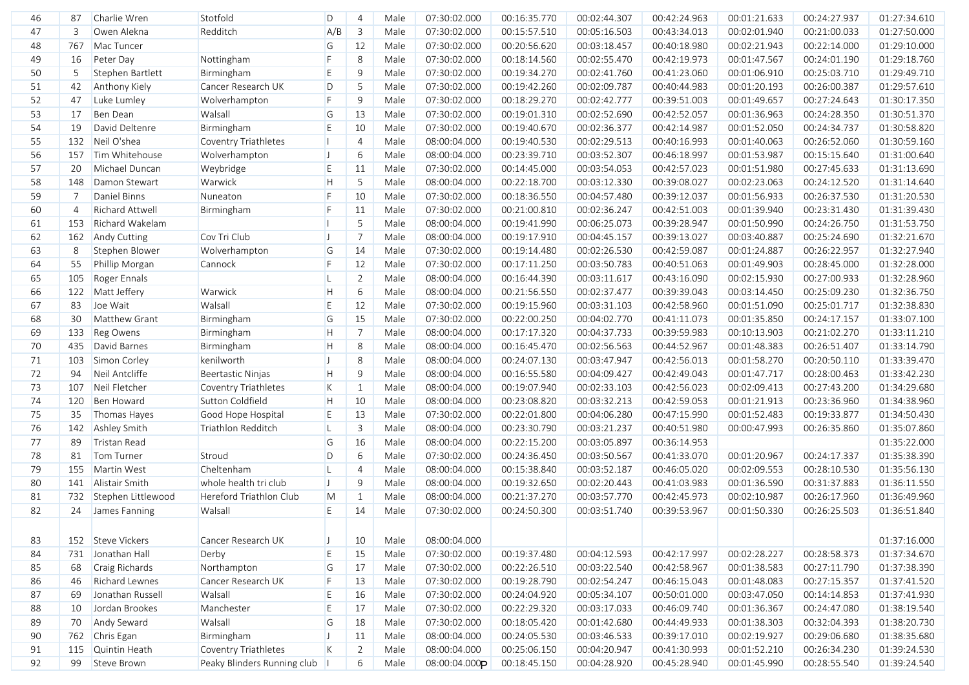| 46 | 87             | Charlie Wren          | Stotfold                    | D            | 4              | Male | 07:30:02.000  | 00:16:35.770 | 00:02:44.307 | 00:42:24.963 | 00:01:21.633 | 00:24:27.937 | 01:27:34.610 |
|----|----------------|-----------------------|-----------------------------|--------------|----------------|------|---------------|--------------|--------------|--------------|--------------|--------------|--------------|
| 47 | 3              | Owen Alekna           | Redditch                    | A/B          | $\mathbf{3}$   | Male | 07:30:02.000  | 00:15:57.510 | 00:05:16.503 | 00:43:34.013 | 00:02:01.940 | 00:21:00.033 | 01:27:50.000 |
| 48 | 767            | Mac Tuncer            |                             | G            | 12             | Male | 07:30:02.000  | 00:20:56.620 | 00:03:18.457 | 00:40:18.980 | 00:02:21.943 | 00:22:14.000 | 01:29:10.000 |
| 49 | 16             | Peter Day             | Nottingham                  | F.           | 8              | Male | 07:30:02.000  | 00:18:14.560 | 00:02:55.470 | 00:42:19.973 | 00:01:47.567 | 00:24:01.190 | 01:29:18.760 |
| 50 | 5              | Stephen Bartlett      | Birmingham                  | E            | 9              | Male | 07:30:02.000  | 00:19:34.270 | 00:02:41.760 | 00:41:23.060 | 00:01:06.910 | 00:25:03.710 | 01:29:49.710 |
| 51 | 42             | Anthony Kiely         | Cancer Research UK          | D            | 5              | Male | 07:30:02.000  | 00:19:42.260 | 00:02:09.787 | 00:40:44.983 | 00:01:20.193 | 00:26:00.387 | 01:29:57.610 |
| 52 | 47             | Luke Lumley           | Wolverhampton               | F            | 9              | Male | 07:30:02.000  | 00:18:29.270 | 00:02:42.777 | 00:39:51.003 | 00:01:49.657 | 00:27:24.643 | 01:30:17.350 |
| 53 | 17             | Ben Dean              | Walsall                     | G            | 13             | Male | 07:30:02.000  | 00:19:01.310 | 00:02:52.690 | 00:42:52.057 | 00:01:36.963 | 00:24:28.350 | 01:30:51.370 |
| 54 | 19             | David Deltenre        | Birmingham                  | E            | 10             | Male | 07:30:02.000  | 00:19:40.670 | 00:02:36.377 | 00:42:14.987 | 00:01:52.050 | 00:24:34.737 | 01:30:58.820 |
| 55 |                | 132 Neil O'shea       | <b>Coventry Triathletes</b> | Ш            | $\overline{4}$ | Male | 08:00:04.000  | 00:19:40.530 | 00:02:29.513 | 00:40:16.993 | 00:01:40.063 | 00:26:52.060 | 01:30:59.160 |
| 56 | 157            | Tim Whitehouse        | Wolverhampton               | $\vert$      | 6              | Male | 08:00:04.000  | 00:23:39.710 | 00:03:52.307 | 00:46:18.997 | 00:01:53.987 | 00:15:15.640 | 01:31:00.640 |
| 57 | 20             | Michael Duncan        | Weybridge                   | E            | 11             | Male | 07:30:02.000  | 00:14:45.000 | 00:03:54.053 | 00:42:57.023 | 00:01:51.980 | 00:27:45.633 | 01:31:13.690 |
| 58 | 148            | Damon Stewart         | Warwick                     | H            | 5              | Male | 08:00:04.000  | 00:22:18.700 | 00:03:12.330 | 00:39:08.027 | 00:02:23.063 | 00:24:12.520 | 01:31:14.640 |
| 59 | 7              | Daniel Binns          | Nuneaton                    | F.           | 10             | Male | 07:30:02.000  | 00:18:36.550 | 00:04:57.480 | 00:39:12.037 | 00:01:56.933 | 00:26:37.530 | 01:31:20.530 |
| 60 | $\overline{4}$ | Richard Attwell       | Birmingham                  | F.           | 11             | Male | 07:30:02.000  | 00:21:00.810 | 00:02:36.247 | 00:42:51.003 | 00:01:39.940 | 00:23:31.430 | 01:31:39.430 |
| 61 | 153            | Richard Wakelam       |                             |              | 5              | Male | 08:00:04.000  | 00:19:41.990 | 00:06:25.073 | 00:39:28.947 | 00:01:50.990 | 00:24:26.750 | 01:31:53.750 |
| 62 | 162            | <b>Andy Cutting</b>   | Cov Tri Club                | $\mathsf{J}$ | $\overline{7}$ | Male | 08:00:04.000  | 00:19:17.910 | 00:04:45.157 | 00:39:13.027 | 00:03:40.887 | 00:25:24.690 | 01:32:21.670 |
| 63 | 8              | Stephen Blower        | Wolverhampton               | G            | 14             | Male | 07:30:02.000  | 00:19:14.480 | 00:02:26.530 | 00:42:59.087 | 00:01:24.887 | 00:26:22.957 | 01:32:27.940 |
| 64 | 55             | Phillip Morgan        | Cannock                     | F.           | 12             | Male | 07:30:02.000  | 00:17:11.250 | 00:03:50.783 | 00:40:51.063 | 00:01:49.903 | 00:28:45.000 | 01:32:28.000 |
| 65 | 105            | Roger Ennals          |                             | L            | 2              | Male | 08:00:04.000  | 00:16:44.390 | 00:03:11.617 | 00:43:16.090 | 00:02:15.930 | 00:27:00.933 | 01:32:28.960 |
| 66 |                | 122 Matt Jeffery      | Warwick                     | H            | 6              | Male | 08:00:04.000  | 00:21:56.550 | 00:02:37.477 | 00:39:39.043 | 00:03:14.450 | 00:25:09.230 | 01:32:36.750 |
| 67 | 83             | Joe Wait              | Walsall                     | E            | 12             | Male | 07:30:02.000  | 00:19:15.960 | 00:03:31.103 | 00:42:58.960 | 00:01:51.090 | 00:25:01.717 | 01:32:38.830 |
| 68 | 30             | Matthew Grant         | Birmingham                  | G            | 15             | Male | 07:30:02.000  | 00:22:00.250 | 00:04:02.770 | 00:41:11.073 | 00:01:35.850 | 00:24:17.157 | 01:33:07.100 |
| 69 | 133            | <b>Reg Owens</b>      | Birmingham                  | H            | $\overline{7}$ | Male | 08:00:04.000  | 00:17:17.320 | 00:04:37.733 | 00:39:59.983 | 00:10:13.903 | 00:21:02.270 | 01:33:11.210 |
| 70 | 435            | David Barnes          | Birmingham                  | H            | 8              | Male | 08:00:04.000  | 00:16:45.470 | 00:02:56.563 | 00:44:52.967 | 00:01:48.383 | 00:26:51.407 | 01:33:14.790 |
| 71 | 103            | Simon Corley          | kenilworth                  | $\mathsf{J}$ | 8              | Male | 08:00:04.000  | 00:24:07.130 | 00:03:47.947 | 00:42:56.013 | 00:01:58.270 | 00:20:50.110 | 01:33:39.470 |
| 72 | 94             | Neil Antcliffe        | Beertastic Ninjas           | H            | 9              | Male | 08:00:04.000  | 00:16:55.580 | 00:04:09.427 | 00:42:49.043 | 00:01:47.717 | 00:28:00.463 | 01:33:42.230 |
| 73 | 107            | Neil Fletcher         | <b>Coventry Triathletes</b> | $\mathsf K$  | $\mathbf{1}$   | Male | 08:00:04.000  | 00:19:07.940 | 00:02:33.103 | 00:42:56.023 | 00:02:09.413 | 00:27:43.200 | 01:34:29.680 |
| 74 | 120            | Ben Howard            | Sutton Coldfield            | H            | 10             | Male | 08:00:04.000  | 00:23:08.820 | 00:03:32.213 | 00:42:59.053 | 00:01:21.913 | 00:23:36.960 | 01:34:38.960 |
| 75 | 35             | Thomas Hayes          | Good Hope Hospital          | E            | 13             | Male | 07:30:02.000  | 00:22:01.800 | 00:04:06.280 | 00:47:15.990 | 00:01:52.483 | 00:19:33.877 | 01:34:50.430 |
| 76 | 142            | Ashley Smith          | Triathlon Redditch          | $\mathsf{L}$ | 3              | Male | 08:00:04.000  | 00:23:30.790 | 00:03:21.237 | 00:40:51.980 | 00:00:47.993 | 00:26:35.860 | 01:35:07.860 |
| 77 | 89             | Tristan Read          |                             | G            | 16             | Male | 08:00:04.000  | 00:22:15.200 | 00:03:05.897 | 00:36:14.953 |              |              | 01:35:22.000 |
| 78 | 81             | Tom Turner            | Stroud                      | D            | 6              | Male | 07:30:02.000  | 00:24:36.450 | 00:03:50.567 | 00:41:33.070 | 00:01:20.967 | 00:24:17.337 | 01:35:38.390 |
| 79 | 155            | Martin West           | Cheltenham                  | $\mathsf{L}$ | $\overline{4}$ | Male | 08:00:04.000  | 00:15:38.840 | 00:03:52.187 | 00:46:05.020 | 00:02:09.553 | 00:28:10.530 | 01:35:56.130 |
| 80 | 141            | Alistair Smith        | whole health tri club       | IJ.          | 9              | Male | 08:00:04.000  | 00:19:32.650 | 00:02:20.443 | 00:41:03.983 | 00:01:36.590 | 00:31:37.883 | 01:36:11.550 |
| 81 | 732            | Stephen Littlewood    | Hereford Triathlon Club     | M            | $\mathbf{1}$   | Male | 08:00:04.000  | 00:21:37.270 | 00:03:57.770 | 00:42:45.973 | 00:02:10.987 | 00:26:17.960 | 01:36:49.960 |
| 82 | 24             | James Fanning         | Walsall                     | E            | 14             | Male | 07:30:02.000  | 00:24:50.300 | 00:03:51.740 | 00:39:53.967 | 00:01:50.330 | 00:26:25.503 | 01:36:51.840 |
|    |                |                       |                             |              |                |      |               |              |              |              |              |              |              |
|    |                |                       |                             |              |                |      |               |              |              |              |              |              |              |
| 83 |                | 152 Steve Vickers     | Cancer Research UK          | IJ           | 10             | Male | 08:00:04.000  |              |              |              |              |              | 01:37:16.000 |
| 84 |                | 731 Jonathan Hall     | Derby                       | E            | 15             | Male | 07:30:02.000  | 00:19:37.480 | 00:04:12.593 | 00:42:17.997 | 00:02:28.227 | 00:28:58.373 | 01:37:34.670 |
| 85 | 68             | Craig Richards        | Northampton                 | G            | $17$           | Male | 07:30:02.000  | 00:22:26.510 | 00:03:22.540 | 00:42:58.967 | 00:01:38.583 | 00:27:11.790 | 01:37:38.390 |
| 86 | 46             | <b>Richard Lewnes</b> | Cancer Research UK          | F            | 13             | Male | 07:30:02.000  | 00:19:28.790 | 00:02:54.247 | 00:46:15.043 | 00:01:48.083 | 00:27:15.357 | 01:37:41.520 |
| 87 | 69             | Jonathan Russell      | Walsall                     | $\mathsf E$  | 16             | Male | 07:30:02.000  | 00:24:04.920 | 00:05:34.107 | 00:50:01.000 | 00:03:47.050 | 00:14:14.853 | 01:37:41.930 |
| 88 | 10             | Jordan Brookes        | Manchester                  | E            | $17$           | Male | 07:30:02.000  | 00:22:29.320 | 00:03:17.033 | 00:46:09.740 | 00:01:36.367 | 00:24:47.080 | 01:38:19.540 |
| 89 | 70             | Andy Seward           | Walsall                     | G            | 18             | Male | 07:30:02.000  | 00:18:05.420 | 00:01:42.680 | 00:44:49.933 | 00:01:38.303 | 00:32:04.393 | 01:38:20.730 |
| 90 | 762            | Chris Egan            | Birmingham                  | IJ           | 11             | Male | 08:00:04.000  | 00:24:05.530 | 00:03:46.533 | 00:39:17.010 | 00:02:19.927 | 00:29:06.680 | 01:38:35.680 |
| 91 | 115            | Quintin Heath         | <b>Coventry Triathletes</b> | K            | $\overline{2}$ | Male | 08:00:04.000  | 00:25:06.150 | 00:04:20.947 | 00:41:30.993 | 00:01:52.210 | 00:26:34.230 | 01:39:24.530 |
| 92 | 99             | Steve Brown           | Peaky Blinders Running club |              | 6              | Male | 08:00:04.000P | 00:18:45.150 | 00:04:28.920 | 00:45:28.940 | 00:01:45.990 | 00:28:55.540 | 01:39:24.540 |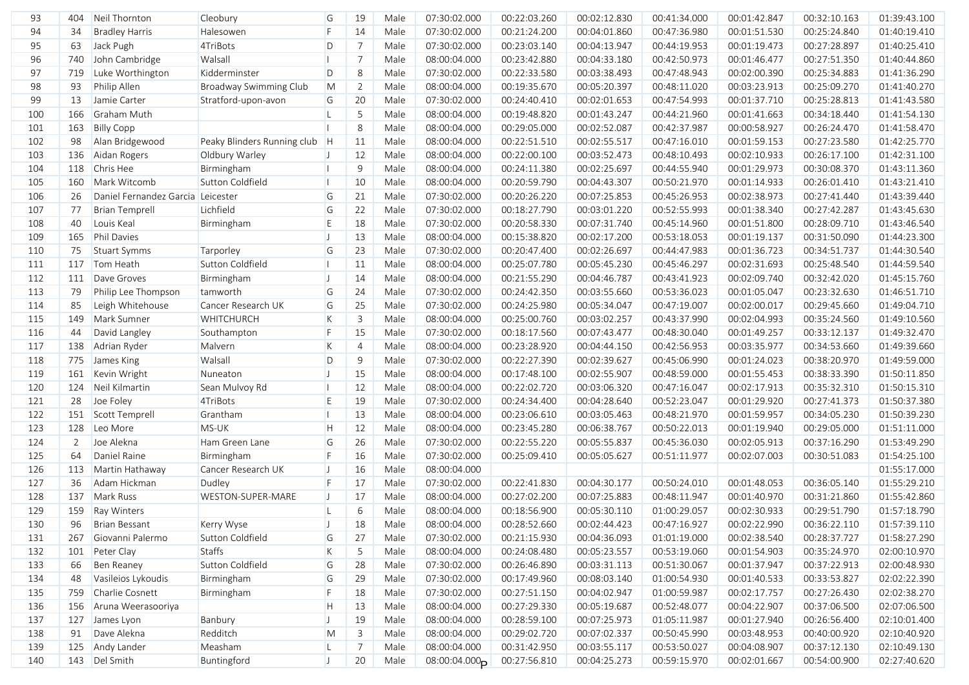| 93  | 404 | Neil Thornton                     | Cleobury                      | G            | 19             | Male | 07:30:02.000              | 00:22:03.260 | 00:02:12.830 | 00:41:34.000 | 00:01:42.847 | 00:32:10.163 | 01:39:43.100 |
|-----|-----|-----------------------------------|-------------------------------|--------------|----------------|------|---------------------------|--------------|--------------|--------------|--------------|--------------|--------------|
| 94  | 34  | <b>Bradley Harris</b>             | Halesowen                     | F            | 14             | Male | 07:30:02.000              | 00:21:24.200 | 00:04:01.860 | 00:47:36.980 | 00:01:51.530 | 00:25:24.840 | 01:40:19.410 |
| 95  | 63  | Jack Pugh                         | 4TriBots                      | D            | 7              | Male | 07:30:02.000              | 00:23:03.140 | 00:04:13.947 | 00:44:19.953 | 00:01:19.473 | 00:27:28.897 | 01:40:25.410 |
| 96  | 740 | John Cambridge                    | Walsall                       | П            | 7              | Male | 08:00:04.000              | 00:23:42.880 | 00:04:33.180 | 00:42:50.973 | 00:01:46.477 | 00:27:51.350 | 01:40:44.860 |
| 97  | 719 | Luke Worthington                  | Kidderminster                 | D            | 8              | Male | 07:30:02.000              | 00:22:33.580 | 00:03:38.493 | 00:47:48.943 | 00:02:00.390 | 00:25:34.883 | 01:41:36.290 |
| 98  | 93  | Philip Allen                      | Broadway Swimming Club        | $\mathsf{M}$ | 2              | Male | 08:00:04.000              | 00:19:35.670 | 00:05:20.397 | 00:48:11.020 | 00:03:23.913 | 00:25:09.270 | 01:41:40.270 |
| 99  | 13  | Jamie Carter                      | Stratford-upon-avon           | G            | 20             | Male | 07:30:02.000              | 00:24:40.410 | 00:02:01.653 | 00:47:54.993 | 00:01:37.710 | 00:25:28.813 | 01:41:43.580 |
| 100 | 166 | Graham Muth                       |                               | L            | 5              | Male | 08:00:04.000              | 00:19:48.820 | 00:01:43.247 | 00:44:21.960 | 00:01:41.663 | 00:34:18.440 | 01:41:54.130 |
| 101 | 163 | <b>Billy Copp</b>                 |                               |              | 8              | Male | 08:00:04.000              | 00:29:05.000 | 00:02:52.087 | 00:42:37.987 | 00:00:58.927 | 00:26:24.470 | 01:41:58.470 |
| 102 | 98  | Alan Bridgewood                   | Peaky Blinders Running club H |              | 11             | Male | 08:00:04.000              | 00:22:51.510 | 00:02:55.517 | 00:47:16.010 | 00:01:59.153 | 00:27:23.580 | 01:42:25.770 |
| 103 | 136 | Aidan Rogers                      | Oldbury Warley                | IJ           | 12             | Male | 08:00:04.000              | 00:22:00.100 | 00:03:52.473 | 00:48:10.493 | 00:02:10.933 | 00:26:17.100 | 01:42:31.100 |
| 104 |     | 118 Chris Hee                     | Birmingham                    |              | 9              | Male | 08:00:04.000              | 00:24:11.380 | 00:02:25.697 | 00:44:55.940 | 00:01:29.973 | 00:30:08.370 | 01:43:11.360 |
| 105 | 160 | Mark Witcomb                      | Sutton Coldfield              | П            | 10             | Male | 08:00:04.000              | 00:20:59.790 | 00:04:43.307 | 00:50:21.970 | 00:01:14.933 | 00:26:01.410 | 01:43:21.410 |
| 106 | 26  | Daniel Fernandez Garcia Leicester |                               | G            | 21             | Male | 07:30:02.000              | 00:20:26.220 | 00:07:25.853 | 00:45:26.953 | 00:02:38.973 | 00:27:41.440 | 01:43:39.440 |
| 107 | 77  | <b>Brian Temprell</b>             | Lichfield                     | G            | 22             | Male | 07:30:02.000              | 00:18:27.790 | 00:03:01.220 | 00:52:55.993 | 00:01:38.340 | 00:27:42.287 | 01:43:45.630 |
| 108 | 40  | Louis Keal                        | Birmingham                    | E            | 18             | Male | 07:30:02.000              | 00:20:58.330 | 00:07:31.740 | 00:45:14.960 | 00:01:51.800 | 00:28:09.710 | 01:43:46.540 |
| 109 | 165 | <b>Phil Davies</b>                |                               | IJ           | 13             | Male | 08:00:04.000              | 00:15:38.820 | 00:02:17.200 | 00:53:18.053 | 00:01:19.137 | 00:31:50.090 | 01:44:23.300 |
| 110 | 75  | <b>Stuart Symms</b>               | Tarporley                     | G            | 23             | Male | 07:30:02.000              | 00:20:47.400 | 00:02:26.697 | 00:44:47.983 | 00:01:36.723 | 00:34:51.737 | 01:44:30.540 |
| 111 |     | 117 Tom Heath                     | Sutton Coldfield              | $\mathbf{I}$ | 11             | Male | 08:00:04.000              | 00:25:07.780 | 00:05:45.230 | 00:45:46.297 | 00:02:31.693 | 00:25:48.540 | 01:44:59.540 |
| 112 | 111 | Dave Groves                       | Birmingham                    | IJ           | 14             | Male | 08:00:04.000              | 00:21:55.290 | 00:04:46.787 | 00:43:41.923 | 00:02:09.740 | 00:32:42.020 | 01:45:15.760 |
| 113 | 79  | Philip Lee Thompson               | tamworth                      | G            | 24             | Male | 07:30:02.000              | 00:24:42.350 | 00:03:55.660 | 00:53:36.023 | 00:01:05.047 | 00:23:32.630 | 01:46:51.710 |
| 114 | 85  | Leigh Whitehouse                  | Cancer Research UK            | G            | 25             | Male | 07:30:02.000              | 00:24:25.980 | 00:05:34.047 | 00:47:19.007 | 00:02:00.017 | 00:29:45.660 | 01:49:04.710 |
| 115 | 149 | Mark Sumner                       | <b>WHITCHURCH</b>             | K            | 3              | Male | 08:00:04.000              | 00:25:00.760 | 00:03:02.257 | 00:43:37.990 | 00:02:04.993 | 00:35:24.560 | 01:49:10.560 |
| 116 | 44  | David Langley                     | Southampton                   | F.           | 15             | Male | 07:30:02.000              | 00:18:17.560 | 00:07:43.477 | 00:48:30.040 | 00:01:49.257 | 00:33:12.137 | 01:49:32.470 |
| 117 | 138 | Adrian Ryder                      | Malvern                       | K            | $\overline{4}$ | Male | 08:00:04.000              | 00:23:28.920 | 00:04:44.150 | 00:42:56.953 | 00:03:35.977 | 00:34:53.660 | 01:49:39.660 |
| 118 |     | 775 James King                    | Walsall                       | D            | 9              | Male | 07:30:02.000              | 00:22:27.390 | 00:02:39.627 | 00:45:06.990 | 00:01:24.023 | 00:38:20.970 | 01:49:59.000 |
| 119 | 161 | Kevin Wright                      | Nuneaton                      | IJ.          | 15             | Male | 08:00:04.000              | 00:17:48.100 | 00:02:55.907 | 00:48:59.000 | 00:01:55.453 | 00:38:33.390 | 01:50:11.850 |
| 120 | 124 | Neil Kilmartin                    | Sean Mulvoy Rd                | п            | 12             | Male | 08:00:04.000              | 00:22:02.720 | 00:03:06.320 | 00:47:16.047 | 00:02:17.913 | 00:35:32.310 | 01:50:15.310 |
| 121 | 28  | Joe Foley                         | 4TriBots                      | E            | 19             | Male | 07:30:02.000              | 00:24:34.400 | 00:04:28.640 | 00:52:23.047 | 00:01:29.920 | 00:27:41.373 | 01:50:37.380 |
| 122 |     | 151 Scott Temprell                | Grantham                      | п            | 13             | Male | 08:00:04.000              | 00:23:06.610 | 00:03:05.463 | 00:48:21.970 | 00:01:59.957 | 00:34:05.230 | 01:50:39.230 |
| 123 | 128 | Leo More                          | MS-UK                         | H            | 12             | Male | 08:00:04.000              | 00:23:45.280 | 00:06:38.767 | 00:50:22.013 | 00:01:19.940 | 00:29:05.000 | 01:51:11.000 |
| 124 | 2   | Joe Alekna                        | Ham Green Lane                | G            | 26             | Male | 07:30:02.000              | 00:22:55.220 | 00:05:55.837 | 00:45:36.030 | 00:02:05.913 | 00:37:16.290 | 01:53:49.290 |
| 125 | 64  | Daniel Raine                      | Birmingham                    | F            | 16             | Male | 07:30:02.000              | 00:25:09.410 | 00:05:05.627 | 00:51:11.977 | 00:02:07.003 | 00:30:51.083 | 01:54:25.100 |
| 126 | 113 | Martin Hathaway                   | Cancer Research UK            | $\mathsf{L}$ | 16             | Male | 08:00:04.000              |              |              |              |              |              | 01:55:17.000 |
| 127 | 36  | Adam Hickman                      | Dudley                        | F            | 17             | Male | 07:30:02.000              | 00:22:41.830 | 00:04:30.177 | 00:50:24.010 | 00:01:48.053 | 00:36:05.140 | 01:55:29.210 |
| 128 |     | 137 Mark Russ                     | WESTON-SUPER-MARE             | $\mathsf{L}$ | 17             | Male | 08:00:04.000              | 00:27:02.200 | 00:07:25.883 | 00:48:11.947 | 00:01:40.970 | 00:31:21.860 | 01:55:42.860 |
| 129 | 159 | <b>Ray Winters</b>                |                               | $\mathsf{L}$ | 6              | Male | 08:00:04.000              | 00:18:56.900 | 00:05:30.110 | 01:00:29.057 | 00:02:30.933 | 00:29:51.790 | 01:57:18.790 |
| 130 | 96  | <b>Brian Bessant</b>              | Kerry Wyse                    | П            | 18             | Male | 08:00:04.000              | 00:28:52.660 | 00:02:44.423 | 00:47:16.927 | 00:02:22.990 | 00:36:22.110 | 01:57:39.110 |
| 131 |     | 267 Giovanni Palermo              | Sutton Coldfield              | G            | 27             | Male | 07:30:02.000              | 00:21:15.930 | 00:04:36.093 | 01:01:19.000 | 00:02:38.540 | 00:28:37.727 | 01:58:27.290 |
| 132 |     | 101 Peter Clay                    | <b>Staffs</b>                 | K            | 5              | Male | 08:00:04.000              | 00:24:08.480 | 00:05:23.557 | 00:53:19.060 | 00:01:54.903 | 00:35:24.970 | 02:00:10.970 |
| 133 | 66  | Ben Reaney                        | Sutton Coldfield              | G            | 28             | Male | 07:30:02.000              | 00:26:46.890 | 00:03:31.113 | 00:51:30.067 | 00:01:37.947 | 00:37:22.913 | 02:00:48.930 |
| 134 | 48  | Vasileios Lykoudis                | Birmingham                    | G            | 29             | Male | 07:30:02.000              | 00:17:49.960 | 00:08:03.140 | 01:00:54.930 | 00:01:40.533 | 00:33:53.827 | 02:02:22.390 |
| 135 | 759 | Charlie Cosnett                   | Birmingham                    | F.           | 18             | Male | 07:30:02.000              | 00:27:51.150 | 00:04:02.947 | 01:00:59.987 | 00:02:17.757 | 00:27:26.430 | 02:02:38.270 |
| 136 |     | 156 Aruna Weerasooriya            |                               | H            | 13             | Male | 08:00:04.000              | 00:27:29.330 | 00:05:19.687 | 00:52:48.077 | 00:04:22.907 | 00:37:06.500 | 02:07:06.500 |
| 137 |     | 127 James Lyon                    | Banbury                       | $\mathsf{J}$ | 19             | Male | 08:00:04.000              | 00:28:59.100 | 00:07:25.973 | 01:05:11.987 | 00:01:27.940 | 00:26:56.400 | 02:10:01.400 |
| 138 | 91  | Dave Alekna                       | Redditch                      | M            | $\overline{3}$ | Male | 08:00:04.000              | 00:29:02.720 | 00:07:02.337 | 00:50:45.990 | 00:03:48.953 | 00:40:00.920 | 02:10:40.920 |
| 139 |     | 125 Andy Lander                   | Measham                       | $\lfloor$    | 7              | Male | 08:00:04.000              | 00:31:42.950 | 00:03:55.117 | 00:53:50.027 | 00:04:08.907 | 00:37:12.130 | 02:10:49.130 |
| 140 |     | 143 Del Smith                     | Buntingford                   | $\mathsf{J}$ | 20             | Male | 08:00:04.000 <sub>D</sub> | 00:27:56.810 | 00:04:25.273 | 00:59:15.970 | 00:02:01.667 | 00:54:00.900 | 02:27:40.620 |
|     |     |                                   |                               |              |                |      |                           |              |              |              |              |              |              |